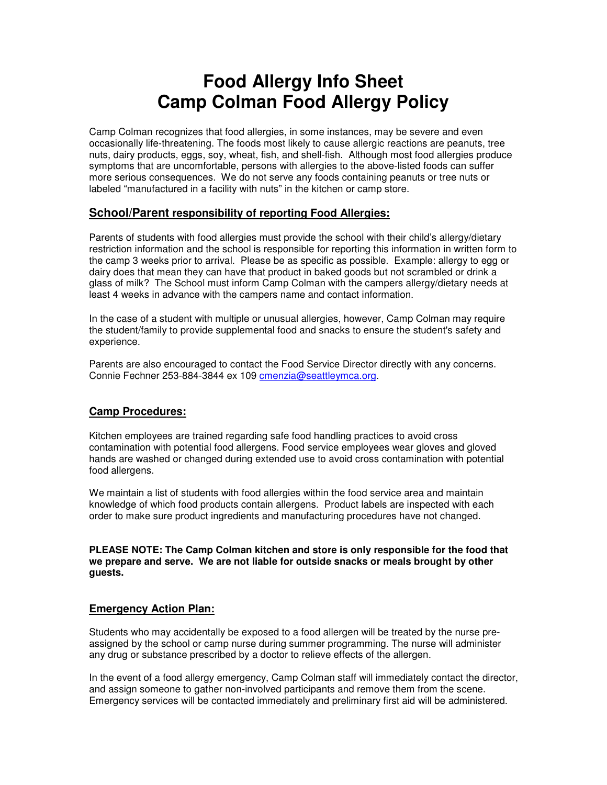# **Food Allergy Info Sheet Camp Colman Food Allergy Policy**

Camp Colman recognizes that food allergies, in some instances, may be severe and even occasionally life-threatening. The foods most likely to cause allergic reactions are peanuts, tree nuts, dairy products, eggs, soy, wheat, fish, and shell-fish. Although most food allergies produce symptoms that are uncomfortable, persons with allergies to the above-listed foods can suffer more serious consequences. We do not serve any foods containing peanuts or tree nuts or labeled "manufactured in a facility with nuts" in the kitchen or camp store.

## **School/Parent responsibility of reporting Food Allergies:**

Parents of students with food allergies must provide the school with their child's allergy/dietary restriction information and the school is responsible for reporting this information in written form to the camp 3 weeks prior to arrival. Please be as specific as possible. Example: allergy to egg or dairy does that mean they can have that product in baked goods but not scrambled or drink a glass of milk? The School must inform Camp Colman with the campers allergy/dietary needs at least 4 weeks in advance with the campers name and contact information.

In the case of a student with multiple or unusual allergies, however, Camp Colman may require the student/family to provide supplemental food and snacks to ensure the student's safety and experience.

Parents are also encouraged to contact the Food Service Director directly with any concerns. Connie Fechner 253-884-3844 ex 109 cmenzia@seattleymca.org.

# **Camp Procedures:**

Kitchen employees are trained regarding safe food handling practices to avoid cross contamination with potential food allergens. Food service employees wear gloves and gloved hands are washed or changed during extended use to avoid cross contamination with potential food allergens.

We maintain a list of students with food allergies within the food service area and maintain knowledge of which food products contain allergens. Product labels are inspected with each order to make sure product ingredients and manufacturing procedures have not changed.

**PLEASE NOTE: The Camp Colman kitchen and store is only responsible for the food that we prepare and serve. We are not liable for outside snacks or meals brought by other guests.** 

#### **Emergency Action Plan:**

Students who may accidentally be exposed to a food allergen will be treated by the nurse preassigned by the school or camp nurse during summer programming. The nurse will administer any drug or substance prescribed by a doctor to relieve effects of the allergen.

In the event of a food allergy emergency, Camp Colman staff will immediately contact the director, and assign someone to gather non-involved participants and remove them from the scene. Emergency services will be contacted immediately and preliminary first aid will be administered.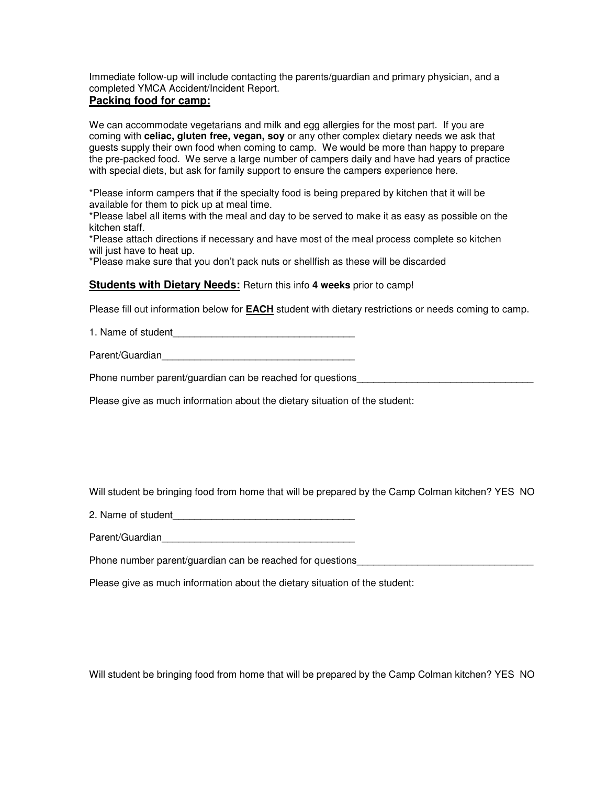Immediate follow-up will include contacting the parents/guardian and primary physician, and a completed YMCA Accident/Incident Report.

## **Packing food for camp:**

We can accommodate vegetarians and milk and egg allergies for the most part. If you are coming with **celiac, gluten free, vegan, soy** or any other complex dietary needs we ask that guests supply their own food when coming to camp. We would be more than happy to prepare the pre-packed food. We serve a large number of campers daily and have had years of practice with special diets, but ask for family support to ensure the campers experience here.

\*Please inform campers that if the specialty food is being prepared by kitchen that it will be available for them to pick up at meal time.

\*Please label all items with the meal and day to be served to make it as easy as possible on the kitchen staff.

\*Please attach directions if necessary and have most of the meal process complete so kitchen will just have to heat up.

\*Please make sure that you don't pack nuts or shellfish as these will be discarded

#### **Students with Dietary Needs:** Return this info **4 weeks** prior to camp!

Please fill out information below for **EACH** student with dietary restrictions or needs coming to camp.

1. Name of student\_\_\_\_\_\_\_\_\_\_\_\_\_\_\_\_\_\_\_\_\_\_\_\_\_\_\_\_\_\_\_\_\_

Parent/Guardian

Phone number parent/guardian can be reached for questions

Please give as much information about the dietary situation of the student:

Will student be bringing food from home that will be prepared by the Camp Colman kitchen? YES NO

2. Name of student

Parent/Guardian\_\_\_\_\_\_\_\_\_\_\_\_\_\_\_\_\_\_\_\_\_\_\_\_\_\_\_\_\_\_\_\_\_\_\_

Phone number parent/guardian can be reached for questions

Please give as much information about the dietary situation of the student:

Will student be bringing food from home that will be prepared by the Camp Colman kitchen? YES NO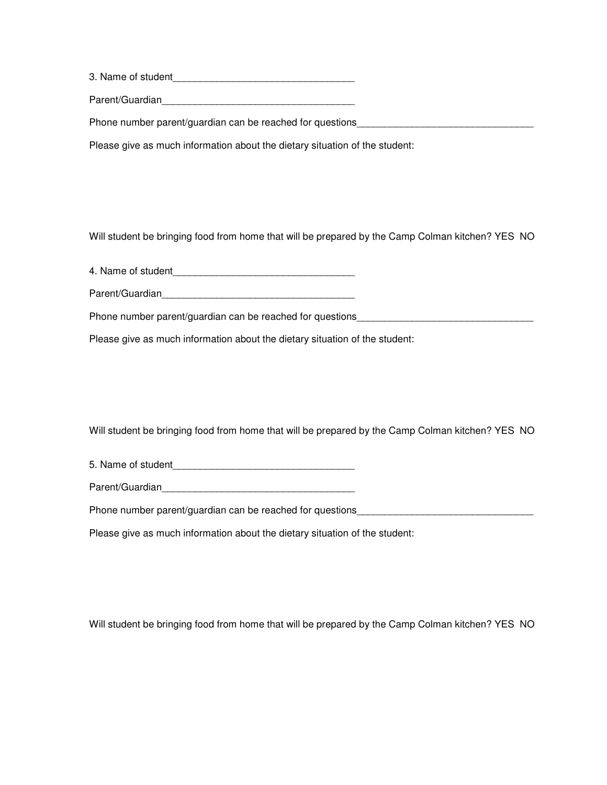3. Name of student

Parent/Guardian

Phone number parent/guardian can be reached for questions

Please give as much information about the dietary situation of the student:

Will student be bringing food from home that will be prepared by the Camp Colman kitchen? YES NO

4. Name of student\_\_\_\_\_\_\_\_\_\_\_\_\_\_\_\_\_\_\_\_\_\_\_\_\_\_\_\_\_\_\_\_\_

Parent/Guardian\_\_\_\_\_\_\_\_\_\_\_\_\_\_\_\_\_\_\_\_\_\_\_\_\_\_\_\_\_\_\_\_\_\_\_

Phone number parent/guardian can be reached for questions\_\_\_\_\_\_\_\_\_\_\_\_\_\_\_\_\_\_\_\_\_\_\_

Please give as much information about the dietary situation of the student:

Will student be bringing food from home that will be prepared by the Camp Colman kitchen? YES NO

5. Name of student

Parent/Guardian

Phone number parent/guardian can be reached for questions

Please give as much information about the dietary situation of the student:

Will student be bringing food from home that will be prepared by the Camp Colman kitchen? YES NO